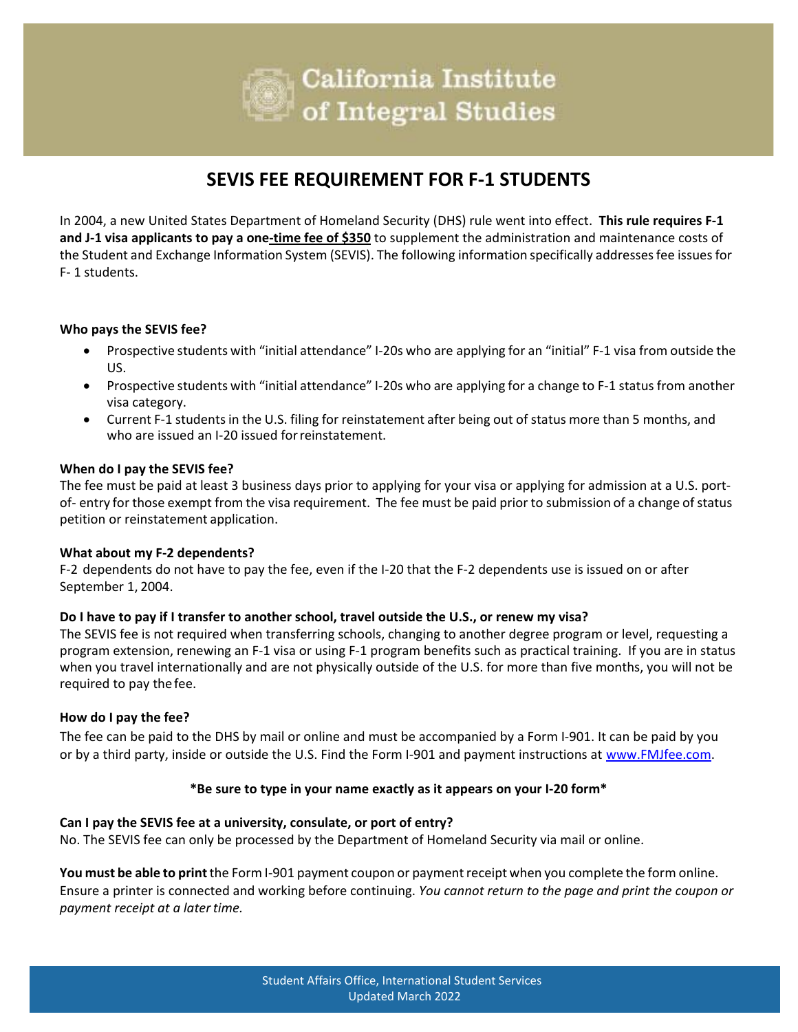

## **SEVIS FEE REQUIREMENT FOR F-1 STUDENTS**

In 2004, a new United States Department of Homeland Security (DHS) rule went into effect. **This rule requires F-1 and J-1 visa applicants to pay a one-time fee of \$350** to supplement the administration and maintenance costs of the Student and Exchange Information System (SEVIS). The following information specifically addresses fee issues for F- 1 students.

#### **Who pays the SEVIS fee?**

- Prospective students with "initial attendance" I-20s who are applying for an "initial" F-1 visa from outside the US.
- Prospective students with "initial attendance" I-20s who are applying for a change to F-1 status from another visa category.
- Current F-1 students in the U.S. filing for reinstatement after being out of status more than 5 months, and who are issued an I-20 issued forreinstatement.

#### **When do I pay the SEVIS fee?**

The fee must be paid at least 3 business days prior to applying for your visa or applying for admission at a U.S. portof- entry for those exempt from the visa requirement. The fee must be paid prior to submission of a change of status petition or reinstatement application.

#### **What about my F-2 dependents?**

F-2 dependents do not have to pay the fee, even if the I-20 that the F-2 dependents use is issued on or after September 1, 2004.

#### **Do I have to pay if I transfer to another school, travel outside the U.S., or renew my visa?**

The SEVIS fee is not required when transferring schools, changing to another degree program or level, requesting a program extension, renewing an F-1 visa or using F-1 program benefits such as practical training. If you are in status when you travel internationally and are not physically outside of the U.S. for more than five months, you will not be required to pay the fee.

#### **How do I pay the fee?**

The fee can be paid to the DHS by mail or online and must be accompanied by a Form I-901. It can be paid by you or by a third party, inside or outside the U.S. Find the Form I-901 and payment instructions at [www.FMJfee.com.](http://www.fmjfee.com/)

#### **\*Be sure to type in your name exactly as it appears on your I-20 form\***

#### **Can I pay the SEVIS fee at a university, consulate, or port of entry?**

No. The SEVIS fee can only be processed by the Department of Homeland Security via mail or online.

You must be able to print the Form I-901 payment coupon or payment receipt when you complete the form online. Ensure a printer is connected and working before continuing. *You cannot return to the page and print the coupon or payment receipt at a latertime.*